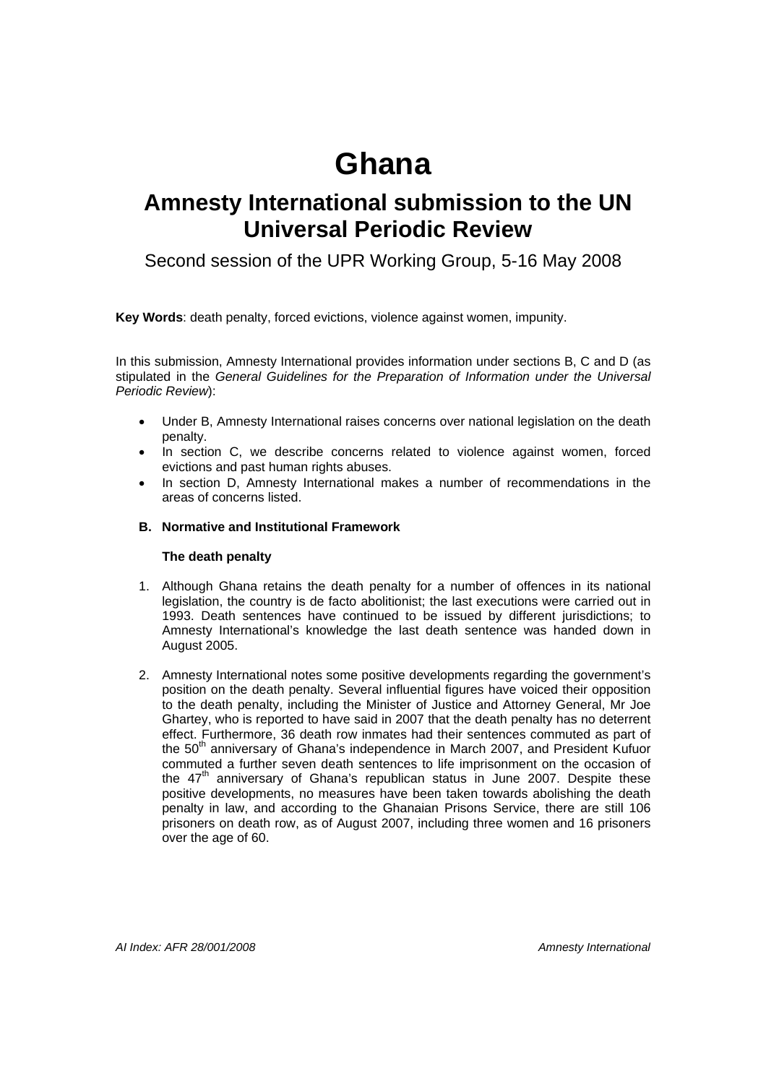# **Ghana**

# **Amnesty International submission to the UN Universal Periodic Review**

Second session of the UPR Working Group, 5-16 May 2008

**Key Words**: death penalty, forced evictions, violence against women, impunity.

In this submission, Amnesty International provides information under sections B, C and D (as stipulated in the *General Guidelines for the Preparation of Information under the Universal Periodic Review*):

- Under B, Amnesty International raises concerns over national legislation on the death penalty.
- In section C, we describe concerns related to violence against women, forced evictions and past human rights abuses.
- In section D, Amnesty International makes a number of recommendations in the areas of concerns listed.

# **B. Normative and Institutional Framework**

### **The death penalty**

- 1. Although Ghana retains the death penalty for a number of offences in its national legislation, the country is de facto abolitionist; the last executions were carried out in 1993. Death sentences have continued to be issued by different jurisdictions; to Amnesty International's knowledge the last death sentence was handed down in August 2005.
- 2. Amnesty International notes some positive developments regarding the government's position on the death penalty. Several influential figures have voiced their opposition to the death penalty, including the Minister of Justice and Attorney General, Mr Joe Ghartey, who is reported to have said in 2007 that the death penalty has no deterrent effect. Furthermore, 36 death row inmates had their sentences commuted as part of the 50<sup>th</sup> anniversary of Ghana's independence in March 2007, and President Kufuor commuted a further seven death sentences to life imprisonment on the occasion of the  $47<sup>th</sup>$  anniversary of Ghana's republican status in June 2007. Despite these positive developments, no measures have been taken towards abolishing the death penalty in law, and according to the Ghanaian Prisons Service, there are still 106 prisoners on death row, as of August 2007, including three women and 16 prisoners over the age of 60.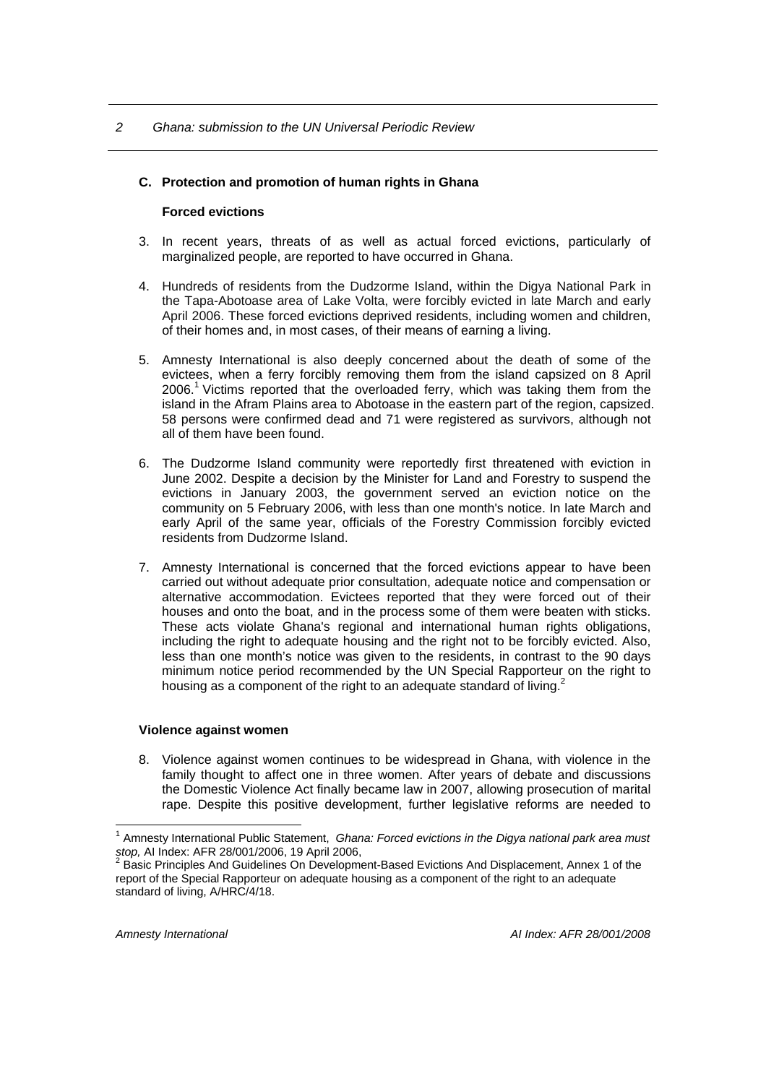#### *2 Ghana: submission to the UN Universal Periodic Review*

#### **C. Protection and promotion of human rights in Ghana**

#### **Forced evictions**

- 3. In recent years, threats of as well as actual forced evictions, particularly of marginalized people, are reported to have occurred in Ghana.
- 4. Hundreds of residents from the Dudzorme Island, within the Digya National Park in the Tapa-Abotoase area of Lake Volta, were forcibly evicted in late March and early April 2006. These forced evictions deprived residents, including women and children, of their homes and, in most cases, of their means of earning a living.
- 5. Amnesty International is also deeply concerned about the death of some of the evictees, when a ferry forcibly removing them from the island capsized on 8 April 2006.<sup>1</sup> Victims reported that the overloaded ferry, which was taking them from the island in the Afram Plains area to Abotoase in the eastern part of the region, capsized. 58 persons were confirmed dead and 71 were registered as survivors, although not all of them have been found.
- 6. The Dudzorme Island community were reportedly first threatened with eviction in June 2002. Despite a decision by the Minister for Land and Forestry to suspend the evictions in January 2003, the government served an eviction notice on the community on 5 February 2006, with less than one month's notice. In late March and early April of the same year, officials of the Forestry Commission forcibly evicted residents from Dudzorme Island.
- 7. Amnesty International is concerned that the forced evictions appear to have been carried out without adequate prior consultation, adequate notice and compensation or alternative accommodation. Evictees reported that they were forced out of their houses and onto the boat, and in the process some of them were beaten with sticks. These acts violate Ghana's regional and international human rights obligations, including the right to adequate housing and the right not to be forcibly evicted. Also, less than one month's notice was given to the residents, in contrast to the 90 days minimum notice period recommended by the UN Special Rapporteur on the right to housing as a component of the right to an adequate standard of living.<sup>2</sup>

#### **Violence against women**

8. Violence against women continues to be widespread in Ghana, with violence in the family thought to affect one in three women. After years of debate and discussions the Domestic Violence Act finally became law in 2007, allowing prosecution of marital rape. Despite this positive development, further legislative reforms are needed to

 $\overline{a}$ 

<sup>&</sup>lt;sup>1</sup> Amnesty International Public Statement, *Ghana: Forced evictions in the Digya national park area must stop,* AI Index: AFR 28/001/2006, 19 April 2006, <sup>2</sup>

Basic Principles And Guidelines On Development-Based Evictions And Displacement, Annex 1 of the report of the Special Rapporteur on adequate housing as a component of the right to an adequate standard of living, A/HRC/4/18.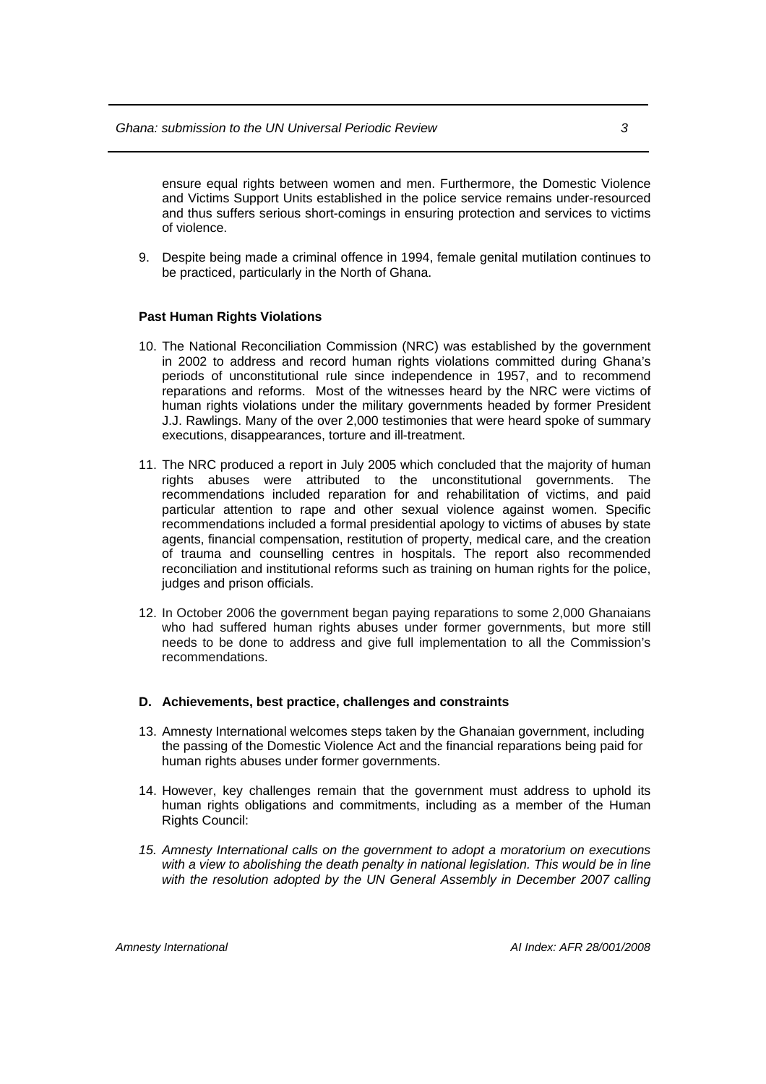ensure equal rights between women and men. Furthermore, the Domestic Violence and Victims Support Units established in the police service remains under-resourced and thus suffers serious short-comings in ensuring protection and services to victims of violence.

9. Despite being made a criminal offence in 1994, female genital mutilation continues to be practiced, particularly in the North of Ghana.

#### **Past Human Rights Violations**

- 10. The National Reconciliation Commission (NRC) was established by the government in 2002 to address and record human rights violations committed during Ghana's periods of unconstitutional rule since independence in 1957, and to recommend reparations and reforms. Most of the witnesses heard by the NRC were victims of human rights violations under the military governments headed by former President J.J. Rawlings. Many of the over 2,000 testimonies that were heard spoke of summary executions, disappearances, torture and ill-treatment.
- 11. The NRC produced a report in July 2005 which concluded that the majority of human rights abuses were attributed to the unconstitutional governments. The recommendations included reparation for and rehabilitation of victims, and paid particular attention to rape and other sexual violence against women. Specific recommendations included a formal presidential apology to victims of abuses by state agents, financial compensation, restitution of property, medical care, and the creation of trauma and counselling centres in hospitals. The report also recommended reconciliation and institutional reforms such as training on human rights for the police, judges and prison officials.
- 12. In October 2006 the government began paying reparations to some 2,000 Ghanaians who had suffered human rights abuses under former governments, but more still needs to be done to address and give full implementation to all the Commission's recommendations.

#### **D. Achievements, best practice, challenges and constraints**

- 13. Amnesty International welcomes steps taken by the Ghanaian government, including the passing of the Domestic Violence Act and the financial reparations being paid for human rights abuses under former governments.
- 14. However, key challenges remain that the government must address to uphold its human rights obligations and commitments, including as a member of the Human Rights Council:
- *15. Amnesty International calls on the government to adopt a moratorium on executions with a view to abolishing the death penalty in national legislation. This would be in line*  with the resolution adopted by the UN General Assembly in December 2007 calling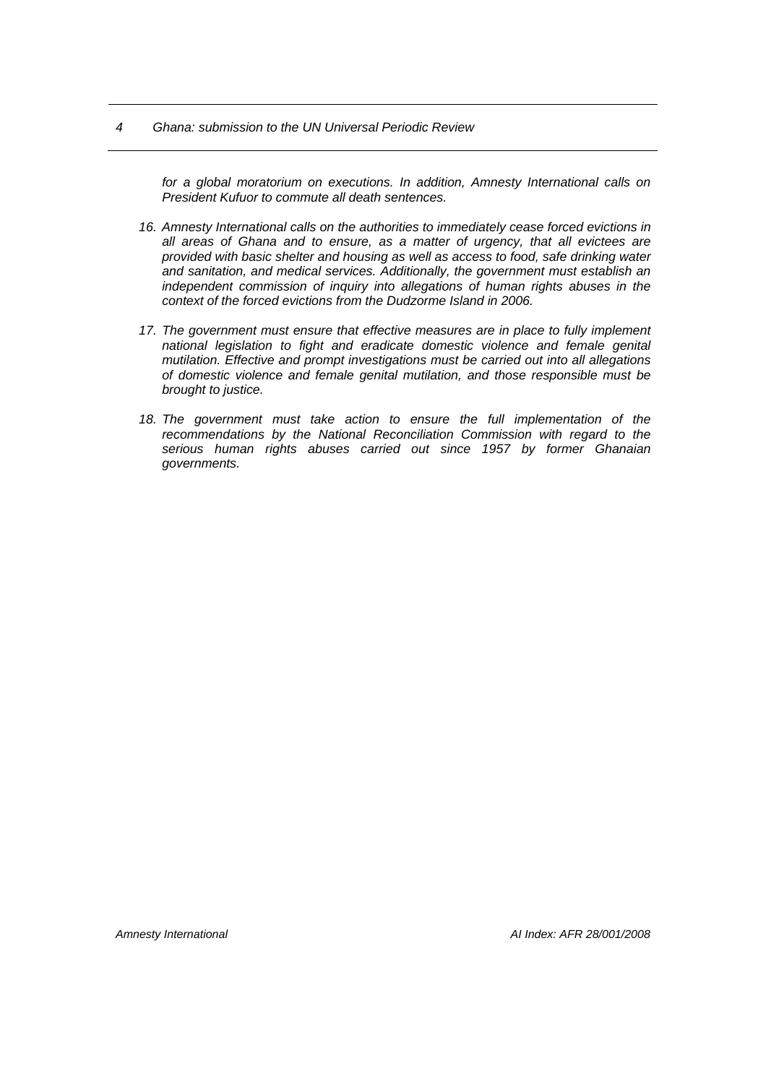#### *4 Ghana: submission to the UN Universal Periodic Review*

*for a global moratorium on executions. In addition, Amnesty International calls on President Kufuor to commute all death sentences.* 

- *16. Amnesty International calls on the authorities to immediately cease forced evictions in all areas of Ghana and to ensure, as a matter of urgency, that all evictees are provided with basic shelter and housing as well as access to food, safe drinking water and sanitation, and medical services. Additionally, the government must establish an independent commission of inquiry into allegations of human rights abuses in the context of the forced evictions from the Dudzorme Island in 2006.*
- *17. The government must ensure that effective measures are in place to fully implement national legislation to fight and eradicate domestic violence and female genital mutilation. Effective and prompt investigations must be carried out into all allegations of domestic violence and female genital mutilation, and those responsible must be brought to justice.*
- 18. The government must take action to ensure the full implementation of the *recommendations by the National Reconciliation Commission with regard to the serious human rights abuses carried out since 1957 by former Ghanaian governments.*